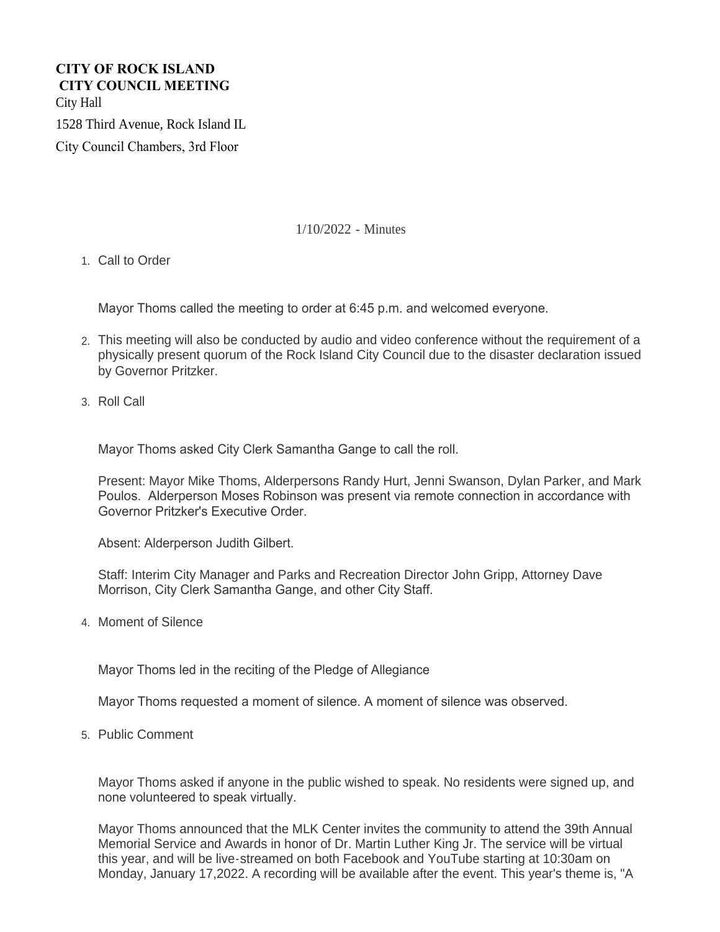# **CITY OF ROCK ISLAND CITY COUNCIL MEETING**  City Hall

1528 Third Avenue, Rock Island IL

City Council Chambers, 3rd Floor

# 1/10/2022 - Minutes

1. Call to Order

Mayor Thoms called the meeting to order at 6:45 p.m. and welcomed everyone.

- This meeting will also be conducted by audio and video conference without the requirement of a 2. physically present quorum of the Rock Island City Council due to the disaster declaration issued by Governor Pritzker.
- 3. Roll Call

Mayor Thoms asked City Clerk Samantha Gange to call the roll.

Present: Mayor Mike Thoms, Alderpersons Randy Hurt, Jenni Swanson, Dylan Parker, and Mark Poulos. Alderperson Moses Robinson was present via remote connection in accordance with Governor Pritzker's Executive Order.

Absent: Alderperson Judith Gilbert.

Staff: Interim City Manager and Parks and Recreation Director John Gripp, Attorney Dave Morrison, City Clerk Samantha Gange, and other City Staff.

4. Moment of Silence

Mayor Thoms led in the reciting of the Pledge of Allegiance

Mayor Thoms requested a moment of silence. A moment of silence was observed.

5. Public Comment

Mayor Thoms asked if anyone in the public wished to speak. No residents were signed up, and none volunteered to speak virtually.

Mayor Thoms announced that the MLK Center invites the community to attend the 39th Annual Memorial Service and Awards in honor of Dr. Martin Luther King Jr. The service will be virtual this year, and will be live-streamed on both Facebook and YouTube starting at 10:30am on Monday, January 17,2022. A recording will be available after the event. This year's theme is, "A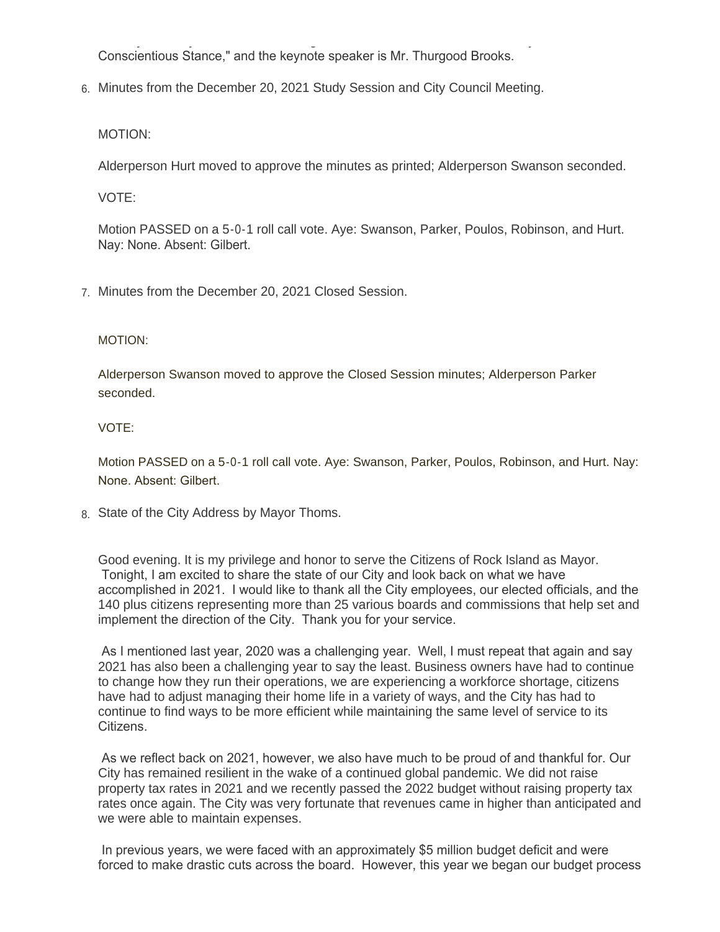Monday, January 17,2022. A recording will be available after the event. This year's theme is, "A Conscientious Stance," and the keynote speaker is Mr. Thurgood Brooks.

Minutes from the December 20, 2021 Study Session and City Council Meeting. 6.

MOTION:

Alderperson Hurt moved to approve the minutes as printed; Alderperson Swanson seconded.

VOTE:

Motion PASSED on a 5-0-1 roll call vote. Aye: Swanson, Parker, Poulos, Robinson, and Hurt. Nay: None. Absent: Gilbert.

Minutes from the December 20, 2021 Closed Session. 7.

#### MOTION:

Alderperson Swanson moved to approve the Closed Session minutes; Alderperson Parker seconded.

#### VOTE:

Motion PASSED on a 5-0-1 roll call vote. Aye: Swanson, Parker, Poulos, Robinson, and Hurt. Nay: None. Absent: Gilbert.

8. State of the City Address by Mayor Thoms.

Good evening. It is my privilege and honor to serve the Citizens of Rock Island as Mayor. Tonight, I am excited to share the state of our City and look back on what we have accomplished in 2021. I would like to thank all the City employees, our elected officials, and the 140 plus citizens representing more than 25 various boards and commissions that help set and implement the direction of the City. Thank you for your service.

 As I mentioned last year, 2020 was a challenging year. Well, I must repeat that again and say 2021 has also been a challenging year to say the least. Business owners have had to continue to change how they run their operations, we are experiencing a workforce shortage, citizens have had to adjust managing their home life in a variety of ways, and the City has had to continue to find ways to be more efficient while maintaining the same level of service to its Citizens.

 As we reflect back on 2021, however, we also have much to be proud of and thankful for. Our City has remained resilient in the wake of a continued global pandemic. We did not raise property tax rates in 2021 and we recently passed the 2022 budget without raising property tax rates once again. The City was very fortunate that revenues came in higher than anticipated and we were able to maintain expenses.

 In previous years, we were faced with an approximately \$5 million budget deficit and were forced to make drastic cuts across the board. However, this year we began our budget process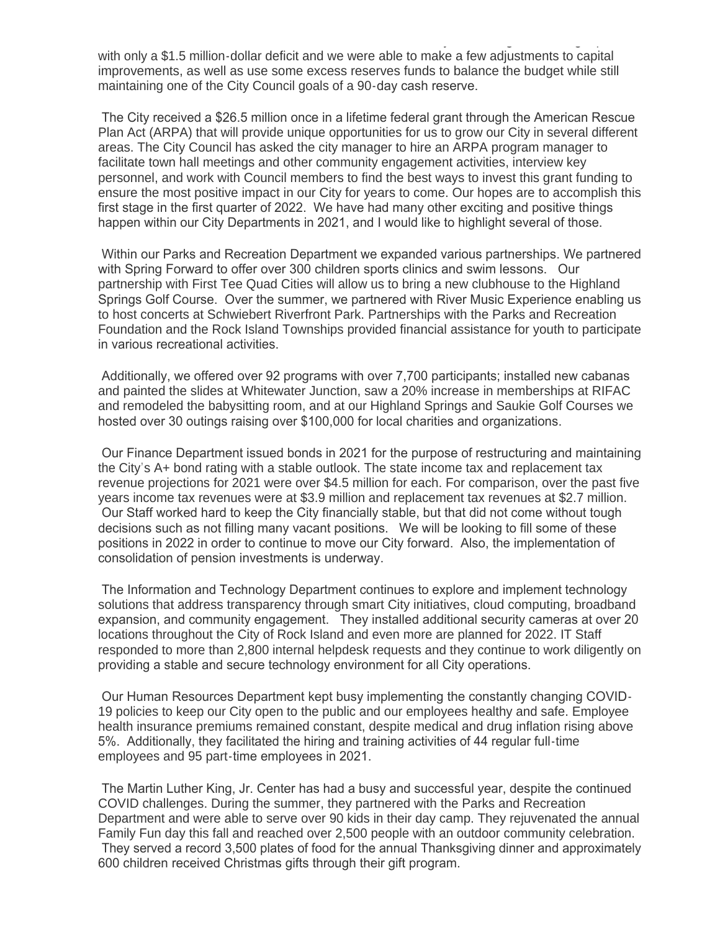forced to make drastic cuts across the board. However, this year we began our budget process with only a \$1.5 million-dollar deficit and we were able to make a few adjustments to capital improvements, as well as use some excess reserves funds to balance the budget while still maintaining one of the City Council goals of a 90-day cash reserve.

 The City received a \$26.5 million once in a lifetime federal grant through the American Rescue Plan Act (ARPA) that will provide unique opportunities for us to grow our City in several different areas. The City Council has asked the city manager to hire an ARPA program manager to facilitate town hall meetings and other community engagement activities, interview key personnel, and work with Council members to find the best ways to invest this grant funding to ensure the most positive impact in our City for years to come. Our hopes are to accomplish this first stage in the first quarter of 2022. We have had many other exciting and positive things happen within our City Departments in 2021, and I would like to highlight several of those.

 Within our Parks and Recreation Department we expanded various partnerships. We partnered with Spring Forward to offer over 300 children sports clinics and swim lessons. Our partnership with First Tee Quad Cities will allow us to bring a new clubhouse to the Highland Springs Golf Course. Over the summer, we partnered with River Music Experience enabling us to host concerts at Schwiebert Riverfront Park. Partnerships with the Parks and Recreation Foundation and the Rock Island Townships provided financial assistance for youth to participate in various recreational activities.

 Additionally, we offered over 92 programs with over 7,700 participants; installed new cabanas and painted the slides at Whitewater Junction, saw a 20% increase in memberships at RIFAC and remodeled the babysitting room, and at our Highland Springs and Saukie Golf Courses we hosted over 30 outings raising over \$100,000 for local charities and organizations.

 Our Finance Department issued bonds in 2021 for the purpose of restructuring and maintaining the City's A+ bond rating with a stable outlook. The state income tax and replacement tax revenue projections for 2021 were over \$4.5 million for each. For comparison, over the past five years income tax revenues were at \$3.9 million and replacement tax revenues at \$2.7 million. Our Staff worked hard to keep the City financially stable, but that did not come without tough decisions such as not filling many vacant positions. We will be looking to fill some of these positions in 2022 in order to continue to move our City forward. Also, the implementation of consolidation of pension investments is underway.

 The Information and Technology Department continues to explore and implement technology solutions that address transparency through smart City initiatives, cloud computing, broadband expansion, and community engagement. They installed additional security cameras at over 20 locations throughout the City of Rock Island and even more are planned for 2022. IT Staff responded to more than 2,800 internal helpdesk requests and they continue to work diligently on providing a stable and secure technology environment for all City operations.

 Our Human Resources Department kept busy implementing the constantly changing COVID-19 policies to keep our City open to the public and our employees healthy and safe. Employee health insurance premiums remained constant, despite medical and drug inflation rising above 5%. Additionally, they facilitated the hiring and training activities of 44 regular full-time employees and 95 part-time employees in 2021.

 The Martin Luther King, Jr. Center has had a busy and successful year, despite the continued COVID challenges. During the summer, they partnered with the Parks and Recreation Department and were able to serve over 90 kids in their day camp. They rejuvenated the annual Family Fun day this fall and reached over 2,500 people with an outdoor community celebration. They served a record 3,500 plates of food for the annual Thanksgiving dinner and approximately 600 children received Christmas gifts through their gift program.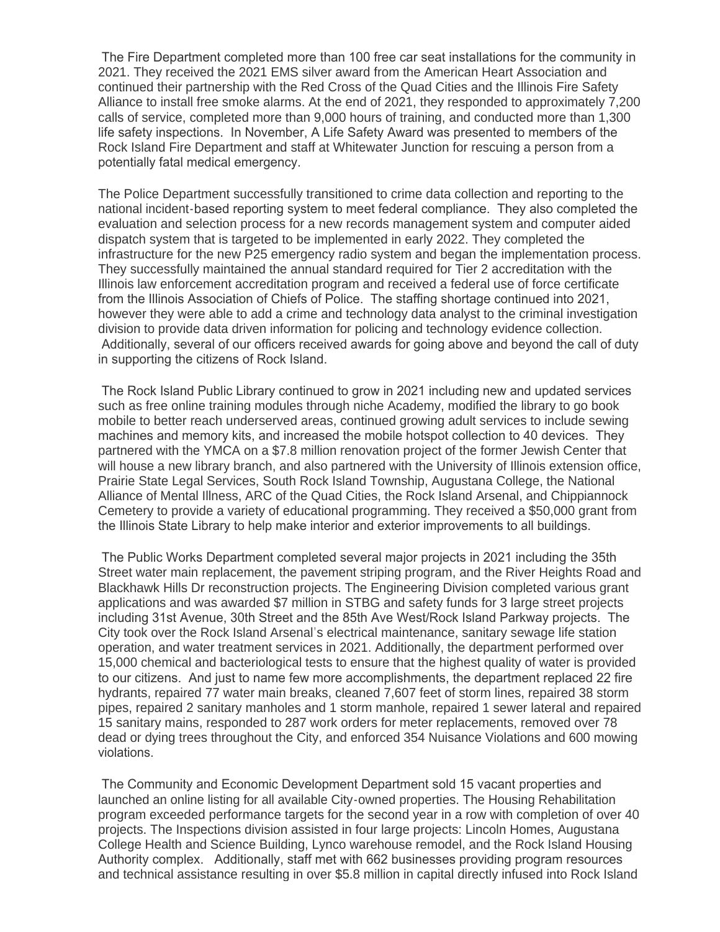The Fire Department completed more than 100 free car seat installations for the community in 2021. They received the 2021 EMS silver award from the American Heart Association and continued their partnership with the Red Cross of the Quad Cities and the Illinois Fire Safety Alliance to install free smoke alarms. At the end of 2021, they responded to approximately 7,200 calls of service, completed more than 9,000 hours of training, and conducted more than 1,300 life safety inspections. In November, A Life Safety Award was presented to members of the Rock Island Fire Department and staff at Whitewater Junction for rescuing a person from a potentially fatal medical emergency.

The Police Department successfully transitioned to crime data collection and reporting to the national incident-based reporting system to meet federal compliance. They also completed the evaluation and selection process for a new records management system and computer aided dispatch system that is targeted to be implemented in early 2022. They completed the infrastructure for the new P25 emergency radio system and began the implementation process. They successfully maintained the annual standard required for Tier 2 accreditation with the Illinois law enforcement accreditation program and received a federal use of force certificate from the Illinois Association of Chiefs of Police. The staffing shortage continued into 2021, however they were able to add a crime and technology data analyst to the criminal investigation division to provide data driven information for policing and technology evidence collection. Additionally, several of our officers received awards for going above and beyond the call of duty in supporting the citizens of Rock Island.

 The Rock Island Public Library continued to grow in 2021 including new and updated services such as free online training modules through niche Academy, modified the library to go book mobile to better reach underserved areas, continued growing adult services to include sewing machines and memory kits, and increased the mobile hotspot collection to 40 devices. They partnered with the YMCA on a \$7.8 million renovation project of the former Jewish Center that will house a new library branch, and also partnered with the University of Illinois extension office, Prairie State Legal Services, South Rock Island Township, Augustana College, the National Alliance of Mental Illness, ARC of the Quad Cities, the Rock Island Arsenal, and Chippiannock Cemetery to provide a variety of educational programming. They received a \$50,000 grant from the Illinois State Library to help make interior and exterior improvements to all buildings.

 The Public Works Department completed several major projects in 2021 including the 35th Street water main replacement, the pavement striping program, and the River Heights Road and Blackhawk Hills Dr reconstruction projects. The Engineering Division completed various grant applications and was awarded \$7 million in STBG and safety funds for 3 large street projects including 31st Avenue, 30th Street and the 85th Ave West/Rock Island Parkway projects. The City took over the Rock Island Arsenal's electrical maintenance, sanitary sewage life station operation, and water treatment services in 2021. Additionally, the department performed over 15,000 chemical and bacteriological tests to ensure that the highest quality of water is provided to our citizens. And just to name few more accomplishments, the department replaced 22 fire hydrants, repaired 77 water main breaks, cleaned 7,607 feet of storm lines, repaired 38 storm pipes, repaired 2 sanitary manholes and 1 storm manhole, repaired 1 sewer lateral and repaired 15 sanitary mains, responded to 287 work orders for meter replacements, removed over 78 dead or dying trees throughout the City, and enforced 354 Nuisance Violations and 600 mowing violations.

 The Community and Economic Development Department sold 15 vacant properties and launched an online listing for all available City-owned properties. The Housing Rehabilitation program exceeded performance targets for the second year in a row with completion of over 40 projects. The Inspections division assisted in four large projects: Lincoln Homes, Augustana College Health and Science Building, Lynco warehouse remodel, and the Rock Island Housing Authority complex. Additionally, staff met with 662 businesses providing program resources and technical assistance resulting in over \$5.8 million in capital directly infused into Rock Island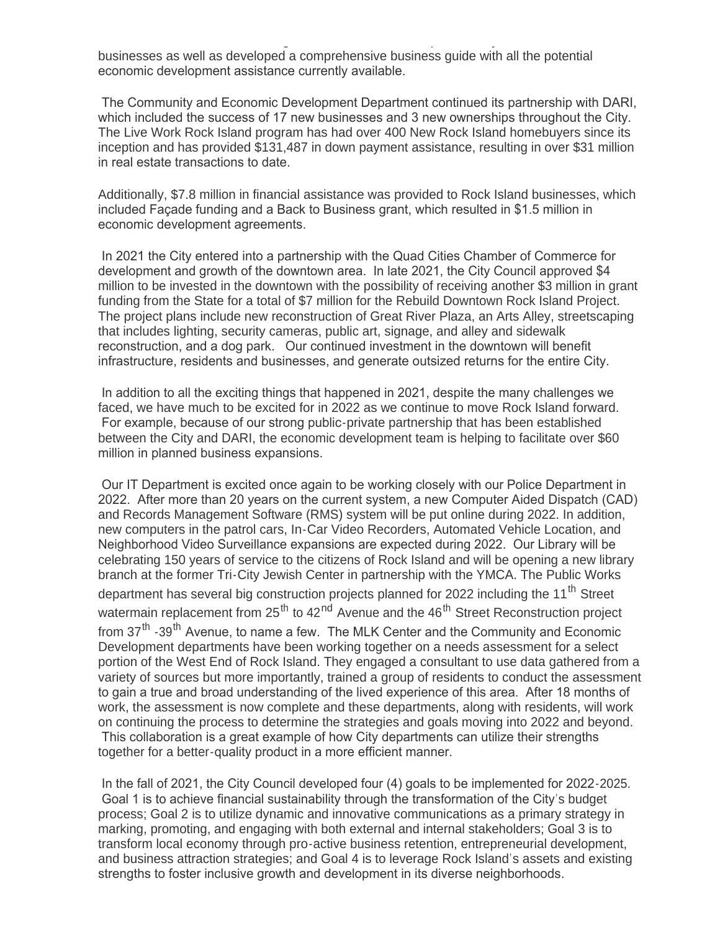and technical assistance resulting in over \$5.8 million in capital directly infused into Rock Island businesses as well as developed a comprehensive business guide with all the potential economic development assistance currently available.

 The Community and Economic Development Department continued its partnership with DARI, which included the success of 17 new businesses and 3 new ownerships throughout the City. The Live Work Rock Island program has had over 400 New Rock Island homebuyers since its inception and has provided \$131,487 in down payment assistance, resulting in over \$31 million in real estate transactions to date.

Additionally, \$7.8 million in financial assistance was provided to Rock Island businesses, which included Façade funding and a Back to Business grant, which resulted in \$1.5 million in economic development agreements.

 In 2021 the City entered into a partnership with the Quad Cities Chamber of Commerce for development and growth of the downtown area. In late 2021, the City Council approved \$4 million to be invested in the downtown with the possibility of receiving another \$3 million in grant funding from the State for a total of \$7 million for the Rebuild Downtown Rock Island Project. The project plans include new reconstruction of Great River Plaza, an Arts Alley, streetscaping that includes lighting, security cameras, public art, signage, and alley and sidewalk reconstruction, and a dog park. Our continued investment in the downtown will benefit infrastructure, residents and businesses, and generate outsized returns for the entire City.

 In addition to all the exciting things that happened in 2021, despite the many challenges we faced, we have much to be excited for in 2022 as we continue to move Rock Island forward. For example, because of our strong public-private partnership that has been established between the City and DARI, the economic development team is helping to facilitate over \$60 million in planned business expansions.

 Our IT Department is excited once again to be working closely with our Police Department in 2022. After more than 20 years on the current system, a new Computer Aided Dispatch (CAD) and Records Management Software (RMS) system will be put online during 2022. In addition, new computers in the patrol cars, In-Car Video Recorders, Automated Vehicle Location, and Neighborhood Video Surveillance expansions are expected during 2022. Our Library will be celebrating 150 years of service to the citizens of Rock Island and will be opening a new library branch at the former Tri-City Jewish Center in partnership with the YMCA. The Public Works department has several big construction projects planned for 2022 including the 11<sup>th</sup> Street watermain replacement from 25<sup>th</sup> to 42<sup>nd</sup> Avenue and the 46<sup>th</sup> Street Reconstruction project from 37<sup>th</sup> -39<sup>th</sup> Avenue, to name a few. The MLK Center and the Community and Economic Development departments have been working together on a needs assessment for a select portion of the West End of Rock Island. They engaged a consultant to use data gathered from a variety of sources but more importantly, trained a group of residents to conduct the assessment to gain a true and broad understanding of the lived experience of this area. After 18 months of work, the assessment is now complete and these departments, along with residents, will work on continuing the process to determine the strategies and goals moving into 2022 and beyond. This collaboration is a great example of how City departments can utilize their strengths together for a better-quality product in a more efficient manner.

 In the fall of 2021, the City Council developed four (4) goals to be implemented for 2022-2025. Goal 1 is to achieve financial sustainability through the transformation of the City's budget process; Goal 2 is to utilize dynamic and innovative communications as a primary strategy in marking, promoting, and engaging with both external and internal stakeholders; Goal 3 is to transform local economy through pro-active business retention, entrepreneurial development, and business attraction strategies; and Goal 4 is to leverage Rock Island's assets and existing strengths to foster inclusive growth and development in its diverse neighborhoods.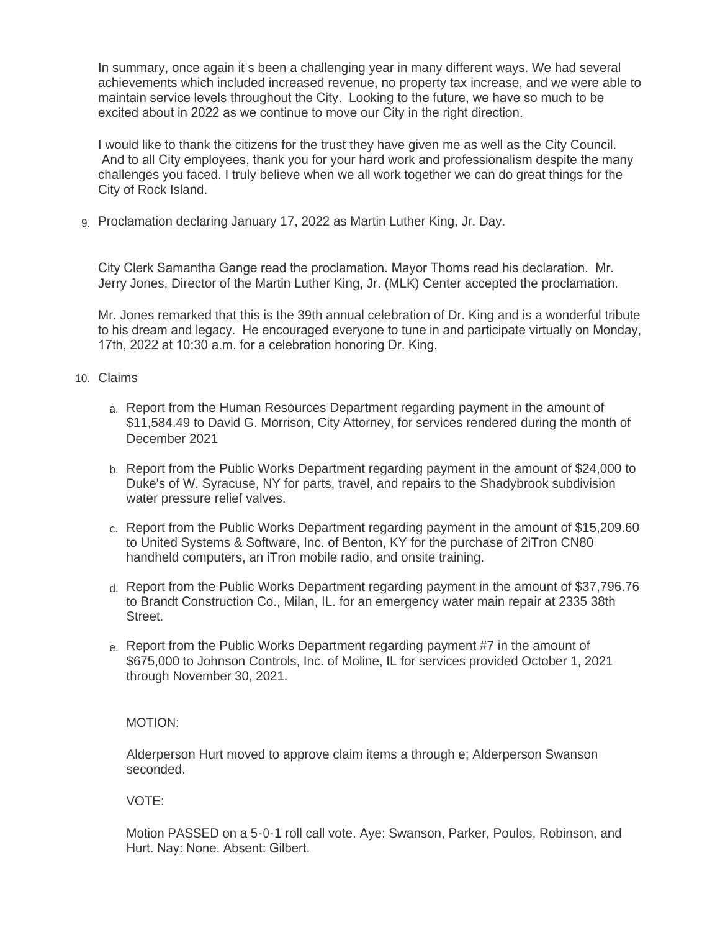In summary, once again it's been a challenging year in many different ways. We had several achievements which included increased revenue, no property tax increase, and we were able to maintain service levels throughout the City. Looking to the future, we have so much to be excited about in 2022 as we continue to move our City in the right direction.

I would like to thank the citizens for the trust they have given me as well as the City Council. And to all City employees, thank you for your hard work and professionalism despite the many challenges you faced. I truly believe when we all work together we can do great things for the City of Rock Island.

9. Proclamation declaring January 17, 2022 as Martin Luther King, Jr. Day.

City Clerk Samantha Gange read the proclamation. Mayor Thoms read his declaration. Mr. Jerry Jones, Director of the Martin Luther King, Jr. (MLK) Center accepted the proclamation.

Mr. Jones remarked that this is the 39th annual celebration of Dr. King and is a wonderful tribute to his dream and legacy. He encouraged everyone to tune in and participate virtually on Monday, 17th, 2022 at 10:30 a.m. for a celebration honoring Dr. King.

- Claims 10.
	- a. Report from the Human Resources Department regarding payment in the amount of \$11,584.49 to David G. Morrison, City Attorney, for services rendered during the month of December 2021
	- b. Report from the Public Works Department regarding payment in the amount of \$24,000 to Duke's of W. Syracuse, NY for parts, travel, and repairs to the Shadybrook subdivision water pressure relief valves.
	- c. Report from the Public Works Department regarding payment in the amount of \$15,209.60 to United Systems & Software, Inc. of Benton, KY for the purchase of 2iTron CN80 handheld computers, an iTron mobile radio, and onsite training.
	- d. Report from the Public Works Department regarding payment in the amount of \$37,796.76 to Brandt Construction Co., Milan, IL. for an emergency water main repair at 2335 38th Street.
	- e. Report from the Public Works Department regarding payment #7 in the amount of \$675,000 to Johnson Controls, Inc. of Moline, IL for services provided October 1, 2021 through November 30, 2021.

# MOTION:

Alderperson Hurt moved to approve claim items a through e; Alderperson Swanson seconded.

VOTE:

Motion PASSED on a 5-0-1 roll call vote. Aye: Swanson, Parker, Poulos, Robinson, and Hurt. Nay: None. Absent: Gilbert.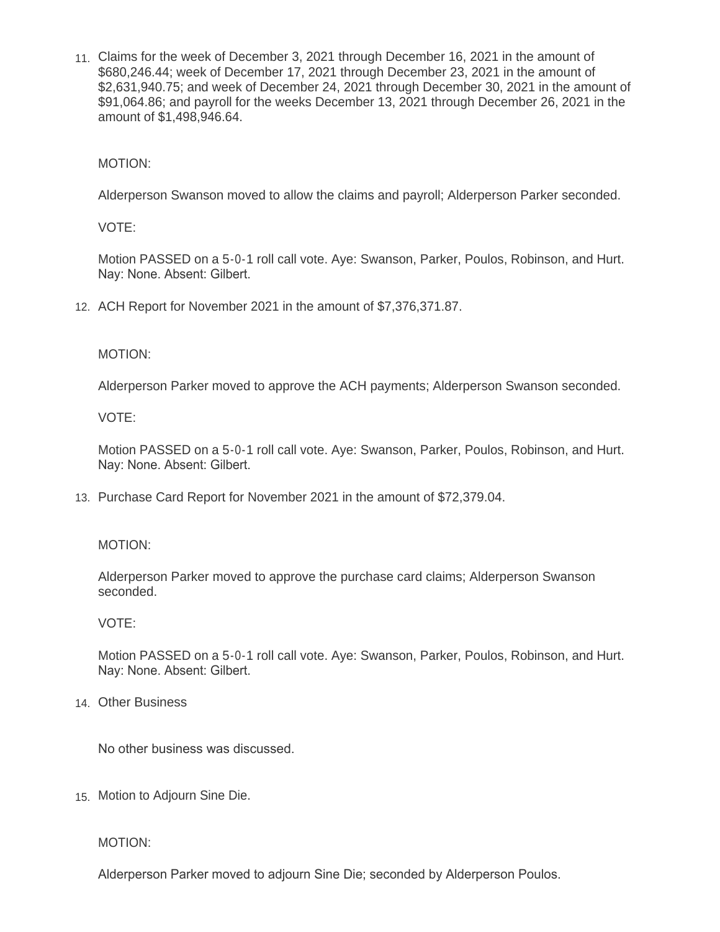Claims for the week of December 3, 2021 through December 16, 2021 in the amount of 11. \$680,246.44; week of December 17, 2021 through December 23, 2021 in the amount of \$2,631,940.75; and week of December 24, 2021 through December 30, 2021 in the amount of \$91,064.86; and payroll for the weeks December 13, 2021 through December 26, 2021 in the amount of \$1,498,946.64.

MOTION:

Alderperson Swanson moved to allow the claims and payroll; Alderperson Parker seconded.

VOTE:

Motion PASSED on a 5-0-1 roll call vote. Aye: Swanson, Parker, Poulos, Robinson, and Hurt. Nay: None. Absent: Gilbert.

ACH Report for November 2021 in the amount of \$7,376,371.87. 12.

MOTION:

Alderperson Parker moved to approve the ACH payments; Alderperson Swanson seconded.

VOTE:

Motion PASSED on a 5-0-1 roll call vote. Aye: Swanson, Parker, Poulos, Robinson, and Hurt. Nay: None. Absent: Gilbert.

13. Purchase Card Report for November 2021 in the amount of \$72,379.04.

## MOTION:

Alderperson Parker moved to approve the purchase card claims; Alderperson Swanson seconded.

## VOTE:

Motion PASSED on a 5-0-1 roll call vote. Aye: Swanson, Parker, Poulos, Robinson, and Hurt. Nay: None. Absent: Gilbert.

Other Business 14.

No other business was discussed.

15. Motion to Adjourn Sine Die.

MOTION:

Alderperson Parker moved to adjourn Sine Die; seconded by Alderperson Poulos.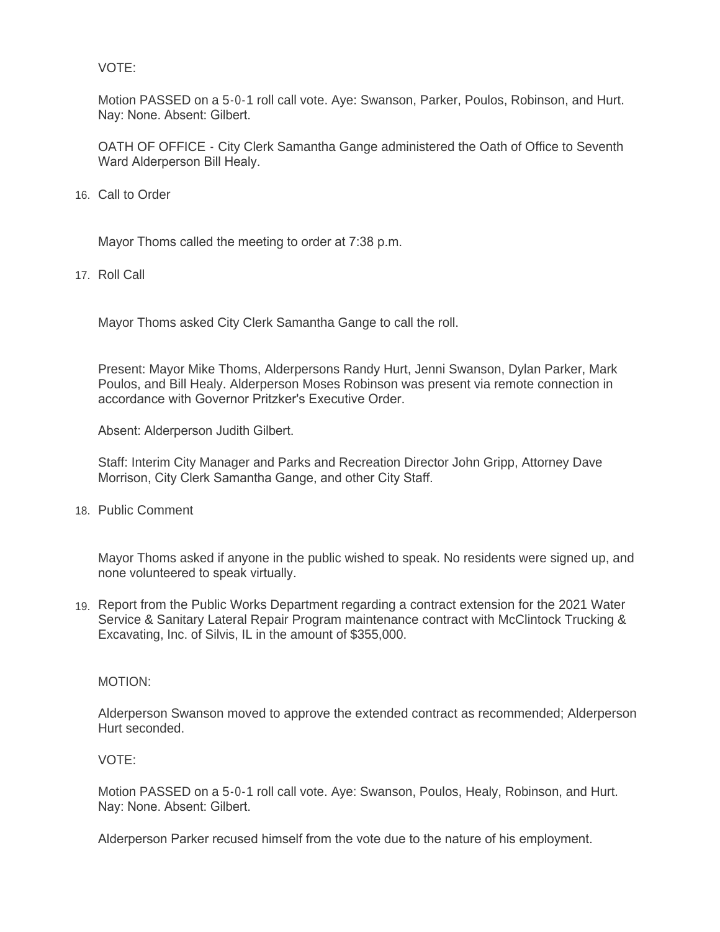VOTE:

Motion PASSED on a 5-0-1 roll call vote. Aye: Swanson, Parker, Poulos, Robinson, and Hurt. Nay: None. Absent: Gilbert.

OATH OF OFFICE - City Clerk Samantha Gange administered the Oath of Office to Seventh Ward Alderperson Bill Healy.

16. Call to Order

Mayor Thoms called the meeting to order at 7:38 p.m.

17. Roll Call

Mayor Thoms asked City Clerk Samantha Gange to call the roll.

Present: Mayor Mike Thoms, Alderpersons Randy Hurt, Jenni Swanson, Dylan Parker, Mark Poulos, and Bill Healy. Alderperson Moses Robinson was present via remote connection in accordance with Governor Pritzker's Executive Order.

Absent: Alderperson Judith Gilbert.

Staff: Interim City Manager and Parks and Recreation Director John Gripp, Attorney Dave Morrison, City Clerk Samantha Gange, and other City Staff.

18. Public Comment

Mayor Thoms asked if anyone in the public wished to speak. No residents were signed up, and none volunteered to speak virtually.

19. Report from the Public Works Department regarding a contract extension for the 2021 Water Service & Sanitary Lateral Repair Program maintenance contract with McClintock Trucking & Excavating, Inc. of Silvis, IL in the amount of \$355,000.

MOTION:

Alderperson Swanson moved to approve the extended contract as recommended; Alderperson Hurt seconded.

#### VOTE:

Motion PASSED on a 5-0-1 roll call vote. Aye: Swanson, Poulos, Healy, Robinson, and Hurt. Nay: None. Absent: Gilbert.

Alderperson Parker recused himself from the vote due to the nature of his employment.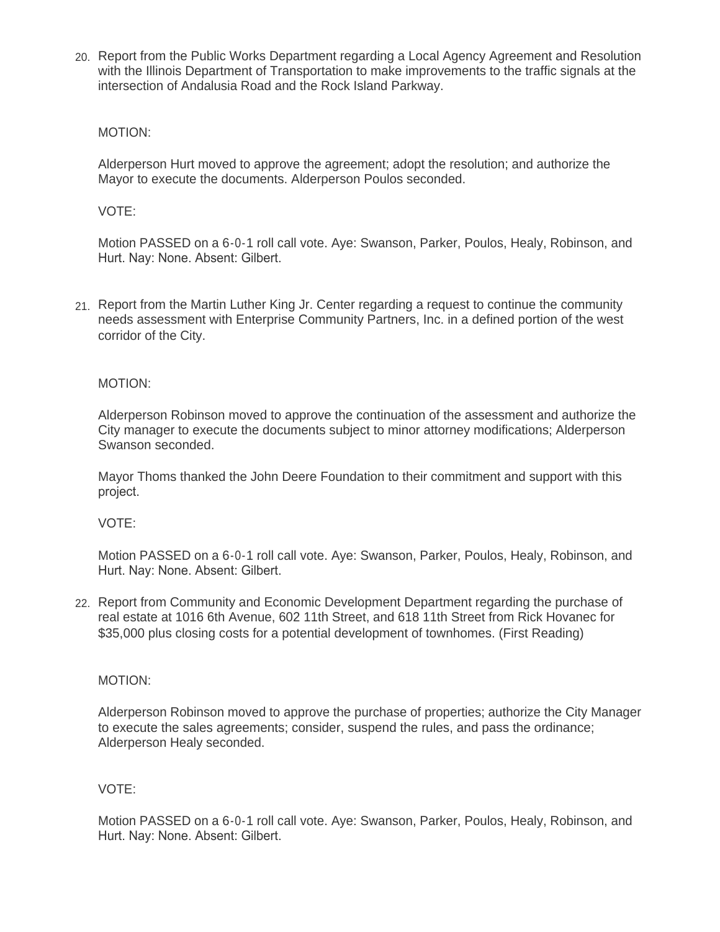Report from the Public Works Department regarding a Local Agency Agreement and Resolution 20. with the Illinois Department of Transportation to make improvements to the traffic signals at the intersection of Andalusia Road and the Rock Island Parkway.

## MOTION:

Alderperson Hurt moved to approve the agreement; adopt the resolution; and authorize the Mayor to execute the documents. Alderperson Poulos seconded.

## VOTE:

Motion PASSED on a 6-0-1 roll call vote. Aye: Swanson, Parker, Poulos, Healy, Robinson, and Hurt. Nay: None. Absent: Gilbert.

21. Report from the Martin Luther King Jr. Center regarding a request to continue the community needs assessment with Enterprise Community Partners, Inc. in a defined portion of the west corridor of the City.

## MOTION:

Alderperson Robinson moved to approve the continuation of the assessment and authorize the City manager to execute the documents subject to minor attorney modifications; Alderperson Swanson seconded.

Mayor Thoms thanked the John Deere Foundation to their commitment and support with this project.

#### VOTE:

Motion PASSED on a 6-0-1 roll call vote. Aye: Swanson, Parker, Poulos, Healy, Robinson, and Hurt. Nay: None. Absent: Gilbert.

22. Report from Community and Economic Development Department regarding the purchase of real estate at 1016 6th Avenue, 602 11th Street, and 618 11th Street from Rick Hovanec for \$35,000 plus closing costs for a potential development of townhomes. (First Reading)

#### MOTION:

Alderperson Robinson moved to approve the purchase of properties; authorize the City Manager to execute the sales agreements; consider, suspend the rules, and pass the ordinance; Alderperson Healy seconded.

# VOTE:

Motion PASSED on a 6-0-1 roll call vote. Aye: Swanson, Parker, Poulos, Healy, Robinson, and Hurt. Nay: None. Absent: Gilbert.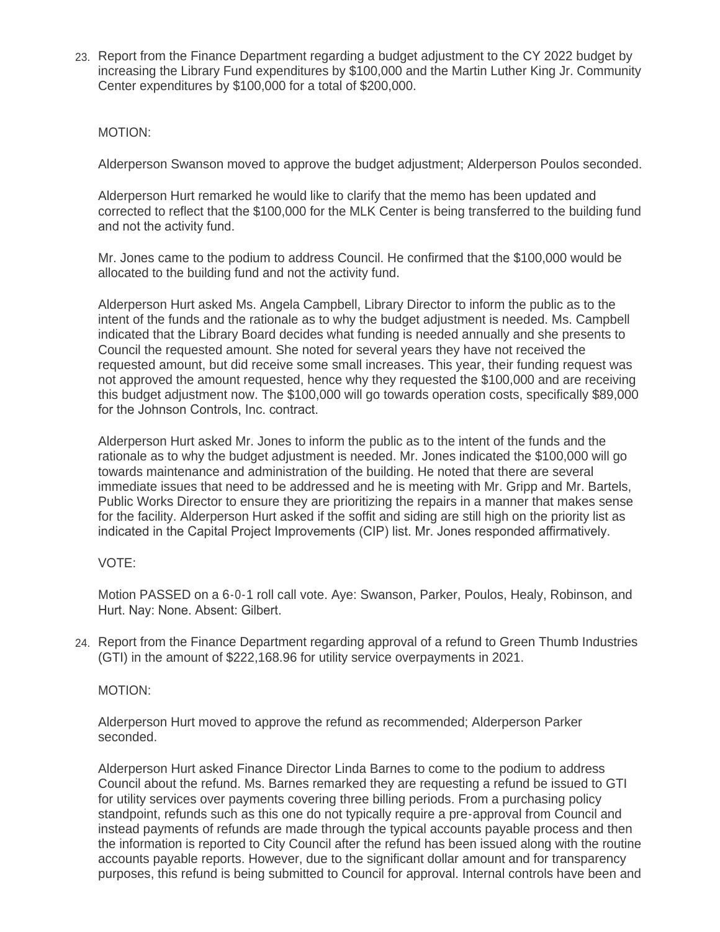23. Report from the Finance Department regarding a budget adjustment to the CY 2022 budget by increasing the Library Fund expenditures by \$100,000 and the Martin Luther King Jr. Community Center expenditures by \$100,000 for a total of \$200,000.

## MOTION:

Alderperson Swanson moved to approve the budget adjustment; Alderperson Poulos seconded.

Alderperson Hurt remarked he would like to clarify that the memo has been updated and corrected to reflect that the \$100,000 for the MLK Center is being transferred to the building fund and not the activity fund.

Mr. Jones came to the podium to address Council. He confirmed that the \$100,000 would be allocated to the building fund and not the activity fund.

Alderperson Hurt asked Ms. Angela Campbell, Library Director to inform the public as to the intent of the funds and the rationale as to why the budget adjustment is needed. Ms. Campbell indicated that the Library Board decides what funding is needed annually and she presents to Council the requested amount. She noted for several years they have not received the requested amount, but did receive some small increases. This year, their funding request was not approved the amount requested, hence why they requested the \$100,000 and are receiving this budget adjustment now. The \$100,000 will go towards operation costs, specifically \$89,000 for the Johnson Controls, Inc. contract.

Alderperson Hurt asked Mr. Jones to inform the public as to the intent of the funds and the rationale as to why the budget adjustment is needed. Mr. Jones indicated the \$100,000 will go towards maintenance and administration of the building. He noted that there are several immediate issues that need to be addressed and he is meeting with Mr. Gripp and Mr. Bartels, Public Works Director to ensure they are prioritizing the repairs in a manner that makes sense for the facility. Alderperson Hurt asked if the soffit and siding are still high on the priority list as indicated in the Capital Project Improvements (CIP) list. Mr. Jones responded affirmatively.

# VOTE:

Motion PASSED on a 6-0-1 roll call vote. Aye: Swanson, Parker, Poulos, Healy, Robinson, and Hurt. Nay: None. Absent: Gilbert.

Report from the Finance Department regarding approval of a refund to Green Thumb Industries 24. (GTI) in the amount of \$222,168.96 for utility service overpayments in 2021.

#### MOTION:

Alderperson Hurt moved to approve the refund as recommended; Alderperson Parker seconded.

Alderperson Hurt asked Finance Director Linda Barnes to come to the podium to address Council about the refund. Ms. Barnes remarked they are requesting a refund be issued to GTI for utility services over payments covering three billing periods. From a purchasing policy standpoint, refunds such as this one do not typically require a pre-approval from Council and instead payments of refunds are made through the typical accounts payable process and then the information is reported to City Council after the refund has been issued along with the routine accounts payable reports. However, due to the significant dollar amount and for transparency purposes, this refund is being submitted to Council for approval. Internal controls have been and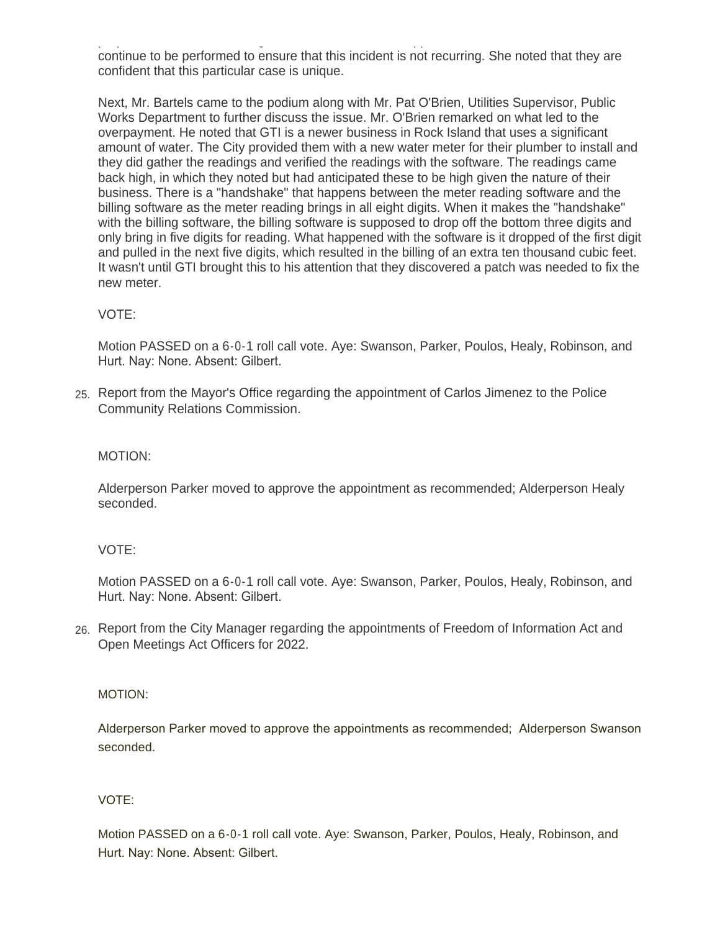purposes, this refund is being submitted to Council for approval. Internal controls have been and continue to be performed to ensure that this incident is not recurring. She noted that they are confident that this particular case is unique.

Next, Mr. Bartels came to the podium along with Mr. Pat O'Brien, Utilities Supervisor, Public Works Department to further discuss the issue. Mr. O'Brien remarked on what led to the overpayment. He noted that GTI is a newer business in Rock Island that uses a significant amount of water. The City provided them with a new water meter for their plumber to install and they did gather the readings and verified the readings with the software. The readings came back high, in which they noted but had anticipated these to be high given the nature of their business. There is a "handshake" that happens between the meter reading software and the billing software as the meter reading brings in all eight digits. When it makes the "handshake" with the billing software, the billing software is supposed to drop off the bottom three digits and only bring in five digits for reading. What happened with the software is it dropped of the first digit and pulled in the next five digits, which resulted in the billing of an extra ten thousand cubic feet. It wasn't until GTI brought this to his attention that they discovered a patch was needed to fix the new meter.

# VOTE:

Motion PASSED on a 6-0-1 roll call vote. Aye: Swanson, Parker, Poulos, Healy, Robinson, and Hurt. Nay: None. Absent: Gilbert.

Report from the Mayor's Office regarding the appointment of Carlos Jimenez to the Police 25. Community Relations Commission.

# MOTION:

Alderperson Parker moved to approve the appointment as recommended; Alderperson Healy seconded.

# VOTE:

Motion PASSED on a 6-0-1 roll call vote. Aye: Swanson, Parker, Poulos, Healy, Robinson, and Hurt. Nay: None. Absent: Gilbert.

26. Report from the City Manager regarding the appointments of Freedom of Information Act and Open Meetings Act Officers for 2022.

#### MOTION:

Alderperson Parker moved to approve the appointments as recommended; Alderperson Swanson seconded.

# VOTE:

Motion PASSED on a 6-0-1 roll call vote. Aye: Swanson, Parker, Poulos, Healy, Robinson, and Hurt. Nay: None. Absent: Gilbert.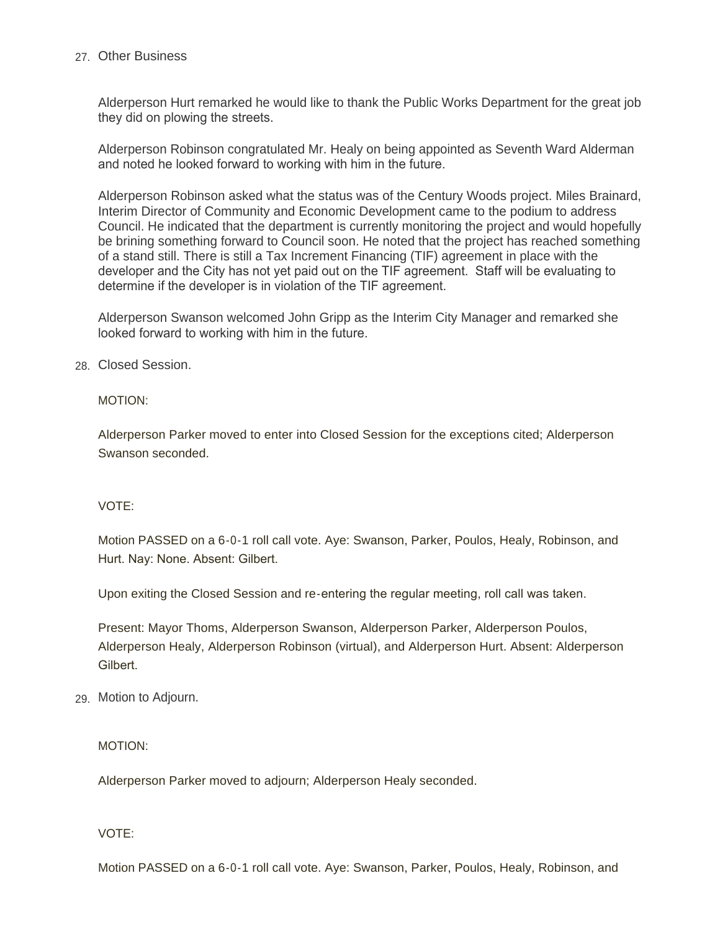## Other Business 27.

Alderperson Hurt remarked he would like to thank the Public Works Department for the great job they did on plowing the streets.

Alderperson Robinson congratulated Mr. Healy on being appointed as Seventh Ward Alderman and noted he looked forward to working with him in the future.

Alderperson Robinson asked what the status was of the Century Woods project. Miles Brainard, Interim Director of Community and Economic Development came to the podium to address Council. He indicated that the department is currently monitoring the project and would hopefully be brining something forward to Council soon. He noted that the project has reached something of a stand still. There is still a Tax Increment Financing (TIF) agreement in place with the developer and the City has not yet paid out on the TIF agreement. Staff will be evaluating to determine if the developer is in violation of the TIF agreement.

Alderperson Swanson welcomed John Gripp as the Interim City Manager and remarked she looked forward to working with him in the future.

Closed Session. 28.

MOTION:

Alderperson Parker moved to enter into Closed Session for the exceptions cited; Alderperson Swanson seconded.

#### VOTE:

Motion PASSED on a 6-0-1 roll call vote. Aye: Swanson, Parker, Poulos, Healy, Robinson, and Hurt. Nay: None. Absent: Gilbert.

Upon exiting the Closed Session and re-entering the regular meeting, roll call was taken.

Present: Mayor Thoms, Alderperson Swanson, Alderperson Parker, Alderperson Poulos, Alderperson Healy, Alderperson Robinson (virtual), and Alderperson Hurt. Absent: Alderperson **Gilbert** 

Motion to Adjourn. 29.

MOTION:

Alderperson Parker moved to adjourn; Alderperson Healy seconded.

VOTE:

Motion PASSED on a 6-0-1 roll call vote. Aye: Swanson, Parker, Poulos, Healy, Robinson, and